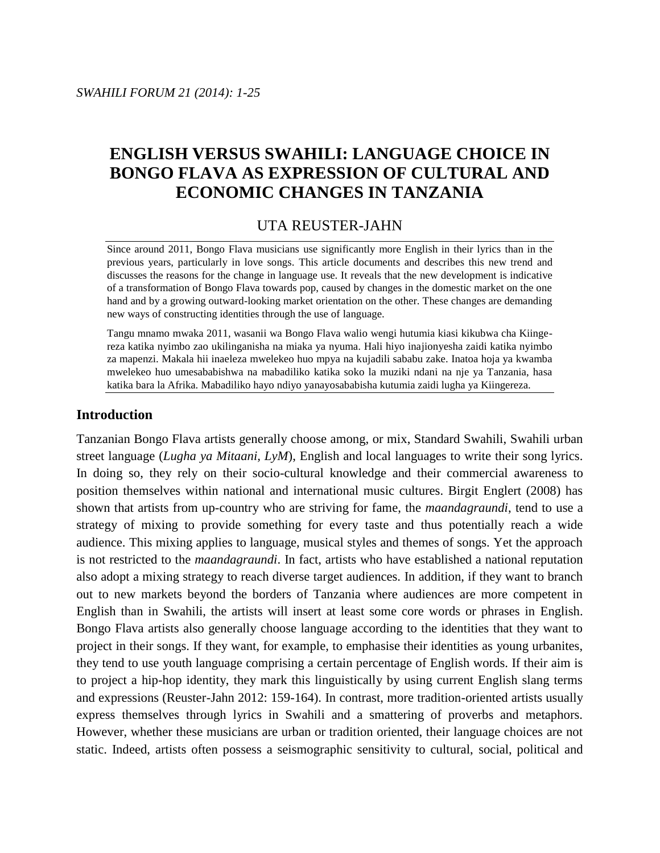# **ENGLISH VERSUS SWAHILI: LANGUAGE CHOICE IN BONGO FLAVA AS EXPRESSION OF CULTURAL AND ECONOMIC CHANGES IN TANZANIA**

# UTA REUSTER-JAHN

Since around 2011, Bongo Flava musicians use significantly more English in their lyrics than in the previous years, particularly in love songs. This article documents and describes this new trend and discusses the reasons for the change in language use. It reveals that the new development is indicative of a transformation of Bongo Flava towards pop, caused by changes in the domestic market on the one hand and by a growing outward-looking market orientation on the other. These changes are demanding new ways of constructing identities through the use of language.

Tangu mnamo mwaka 2011, wasanii wa Bongo Flava walio wengi hutumia kiasi kikubwa cha Kiingereza katika nyimbo zao ukilinganisha na miaka ya nyuma. Hali hiyo inajionyesha zaidi katika nyimbo za mapenzi. Makala hii inaeleza mwelekeo huo mpya na kujadili sababu zake. Inatoa hoja ya kwamba mwelekeo huo umesababishwa na mabadiliko katika soko la muziki ndani na nje ya Tanzania, hasa katika bara la Afrika. Mabadiliko hayo ndiyo yanayosababisha kutumia zaidi lugha ya Kiingereza.

# **Introduction**

Tanzanian Bongo Flava artists generally choose among, or mix, Standard Swahili, Swahili urban street language (*Lugha ya Mitaani, LyM*), English and local languages to write their song lyrics. In doing so, they rely on their socio-cultural knowledge and their commercial awareness to position themselves within national and international music cultures. Birgit Englert (2008) has shown that artists from up-country who are striving for fame, the *maandagraundi*, tend to use a strategy of mixing to provide something for every taste and thus potentially reach a wide audience. This mixing applies to language, musical styles and themes of songs. Yet the approach is not restricted to the *maandagraundi*. In fact, artists who have established a national reputation also adopt a mixing strategy to reach diverse target audiences. In addition, if they want to branch out to new markets beyond the borders of Tanzania where audiences are more competent in English than in Swahili, the artists will insert at least some core words or phrases in English. Bongo Flava artists also generally choose language according to the identities that they want to project in their songs. If they want, for example, to emphasise their identities as young urbanites, they tend to use youth language comprising a certain percentage of English words. If their aim is to project a hip-hop identity, they mark this linguistically by using current English slang terms and expressions (Reuster-Jahn 2012: 159-164). In contrast, more tradition-oriented artists usually express themselves through lyrics in Swahili and a smattering of proverbs and metaphors. However, whether these musicians are urban or tradition oriented, their language choices are not static. Indeed, artists often possess a seismographic sensitivity to cultural, social, political and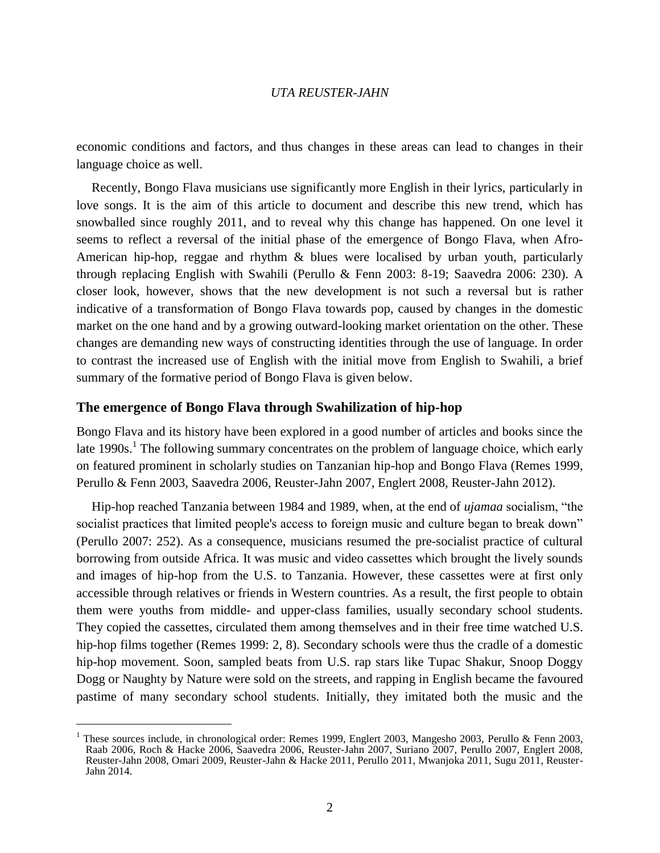economic conditions and factors, and thus changes in these areas can lead to changes in their language choice as well.

Recently, Bongo Flava musicians use significantly more English in their lyrics, particularly in love songs. It is the aim of this article to document and describe this new trend, which has snowballed since roughly 2011, and to reveal why this change has happened. On one level it seems to reflect a reversal of the initial phase of the emergence of Bongo Flava, when Afro-American hip-hop, reggae and rhythm & blues were localised by urban youth, particularly through replacing English with Swahili (Perullo & Fenn 2003: 8-19; Saavedra 2006: 230). A closer look, however, shows that the new development is not such a reversal but is rather indicative of a transformation of Bongo Flava towards pop, caused by changes in the domestic market on the one hand and by a growing outward-looking market orientation on the other. These changes are demanding new ways of constructing identities through the use of language. In order to contrast the increased use of English with the initial move from English to Swahili, a brief summary of the formative period of Bongo Flava is given below.

## **The emergence of Bongo Flava through Swahilization of hip-hop**

 $\overline{a}$ 

Bongo Flava and its history have been explored in a good number of articles and books since the late 1990s.<sup>1</sup> The following summary concentrates on the problem of language choice, which early on featured prominent in scholarly studies on Tanzanian hip-hop and Bongo Flava (Remes 1999, Perullo & Fenn 2003, Saavedra 2006, Reuster-Jahn 2007, Englert 2008, Reuster-Jahn 2012).

Hip-hop reached Tanzania between 1984 and 1989, when, at the end of *ujamaa* socialism, "the socialist practices that limited people's access to foreign music and culture began to break down" (Perullo 2007: 252). As a consequence, musicians resumed the pre-socialist practice of cultural borrowing from outside Africa. It was music and video cassettes which brought the lively sounds and images of hip-hop from the U.S. to Tanzania. However, these cassettes were at first only accessible through relatives or friends in Western countries. As a result, the first people to obtain them were youths from middle- and upper-class families, usually secondary school students. They copied the cassettes, circulated them among themselves and in their free time watched U.S. hip-hop films together (Remes 1999: 2, 8). Secondary schools were thus the cradle of a domestic hip-hop movement. Soon, sampled beats from U.S. rap stars like Tupac Shakur, Snoop Doggy Dogg or Naughty by Nature were sold on the streets, and rapping in English became the favoured pastime of many secondary school students. Initially, they imitated both the music and the

<sup>&</sup>lt;sup>1</sup> These sources include, in chronological order: Remes 1999, Englert 2003, Mangesho 2003, Perullo & Fenn 2003, Raab 2006, Roch & Hacke 2006, Saavedra 2006, Reuster-Jahn 2007, Suriano 2007, Perullo 2007, Englert 2008, Reuster-Jahn 2008, Omari 2009, Reuster-Jahn & Hacke 2011, Perullo 2011, Mwanjoka 2011, Sugu 2011, Reuster-Jahn 2014.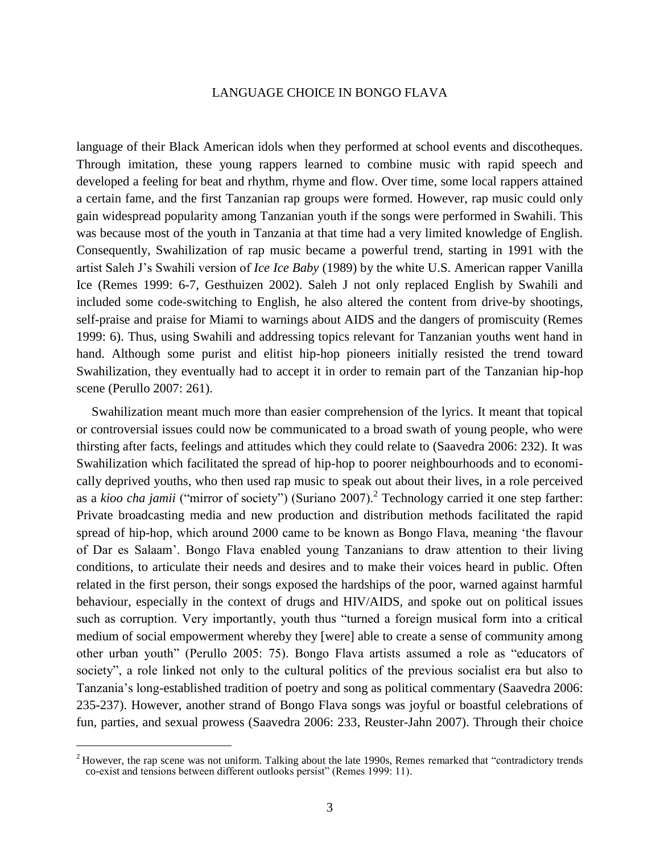language of their Black American idols when they performed at school events and discotheques. Through imitation, these young rappers learned to combine music with rapid speech and developed a feeling for beat and rhythm, rhyme and flow. Over time, some local rappers attained a certain fame, and the first Tanzanian rap groups were formed. However, rap music could only gain widespread popularity among Tanzanian youth if the songs were performed in Swahili. This was because most of the youth in Tanzania at that time had a very limited knowledge of English. Consequently, Swahilization of rap music became a powerful trend, starting in 1991 with the artist Saleh J's Swahili version of *Ice Ice Baby* (1989) by the white U.S. American rapper Vanilla Ice (Remes 1999: 6-7, Gesthuizen 2002). Saleh J not only replaced English by Swahili and included some code-switching to English, he also altered the content from drive-by shootings, self-praise and praise for Miami to warnings about AIDS and the dangers of promiscuity (Remes 1999: 6). Thus, using Swahili and addressing topics relevant for Tanzanian youths went hand in hand. Although some purist and elitist hip-hop pioneers initially resisted the trend toward Swahilization, they eventually had to accept it in order to remain part of the Tanzanian hip-hop scene (Perullo 2007: 261).

Swahilization meant much more than easier comprehension of the lyrics. It meant that topical or controversial issues could now be communicated to a broad swath of young people, who were thirsting after facts, feelings and attitudes which they could relate to (Saavedra 2006: 232). It was Swahilization which facilitated the spread of hip-hop to poorer neighbourhoods and to economically deprived youths, who then used rap music to speak out about their lives, in a role perceived as a *kioo cha jamii* ("mirror of society") (Suriano 2007).<sup>2</sup> Technology carried it one step farther: Private broadcasting media and new production and distribution methods facilitated the rapid spread of hip-hop, which around 2000 came to be known as Bongo Flava, meaning 'the flavour of Dar es Salaam'. Bongo Flava enabled young Tanzanians to draw attention to their living conditions, to articulate their needs and desires and to make their voices heard in public. Often related in the first person, their songs exposed the hardships of the poor, warned against harmful behaviour, especially in the context of drugs and HIV/AIDS, and spoke out on political issues such as corruption. Very importantly, youth thus "turned a foreign musical form into a critical medium of social empowerment whereby they [were] able to create a sense of community among other urban youth" (Perullo 2005: 75). Bongo Flava artists assumed a role as "educators of society", a role linked not only to the cultural politics of the previous socialist era but also to Tanzania's long-established tradition of poetry and song as political commentary (Saavedra 2006: 235-237). However, another strand of Bongo Flava songs was joyful or boastful celebrations of fun, parties, and sexual prowess (Saavedra 2006: 233, Reuster-Jahn 2007). Through their choice

 $2$  However, the rap scene was not uniform. Talking about the late 1990s, Remes remarked that "contradictory trends" co-exist and tensions between different outlooks persist" (Remes 1999: 11).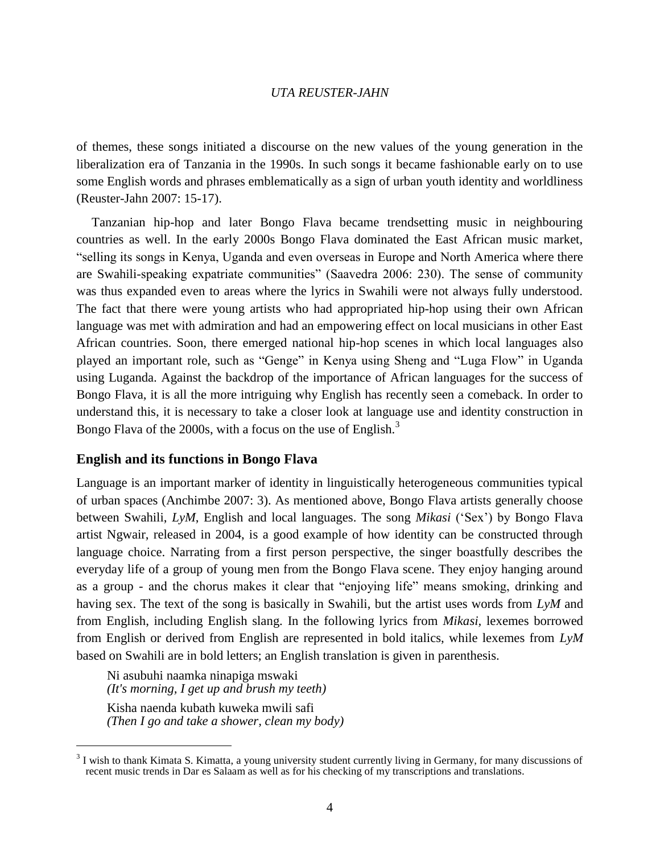of themes, these songs initiated a discourse on the new values of the young generation in the liberalization era of Tanzania in the 1990s. In such songs it became fashionable early on to use some English words and phrases emblematically as a sign of urban youth identity and worldliness (Reuster-Jahn 2007: 15-17).

Tanzanian hip-hop and later Bongo Flava became trendsetting music in neighbouring countries as well. In the early 2000s Bongo Flava dominated the East African music market, "selling its songs in Kenya, Uganda and even overseas in Europe and North America where there are Swahili-speaking expatriate communities" (Saavedra 2006: 230). The sense of community was thus expanded even to areas where the lyrics in Swahili were not always fully understood. The fact that there were young artists who had appropriated hip-hop using their own African language was met with admiration and had an empowering effect on local musicians in other East African countries. Soon, there emerged national hip-hop scenes in which local languages also played an important role, such as "Genge" in Kenya using Sheng and "Luga Flow" in Uganda using Luganda. Against the backdrop of the importance of African languages for the success of Bongo Flava, it is all the more intriguing why English has recently seen a comeback. In order to understand this, it is necessary to take a closer look at language use and identity construction in Bongo Flava of the 2000s, with a focus on the use of English.<sup>3</sup>

# **English and its functions in Bongo Flava**

Language is an important marker of identity in linguistically heterogeneous communities typical of urban spaces (Anchimbe 2007: 3). As mentioned above, Bongo Flava artists generally choose between Swahili, *LyM*, English and local languages. The song *Mikasi* ('Sex') by Bongo Flava artist Ngwair, released in 2004, is a good example of how identity can be constructed through language choice. Narrating from a first person perspective, the singer boastfully describes the everyday life of a group of young men from the Bongo Flava scene. They enjoy hanging around as a group - and the chorus makes it clear that "enjoying life" means smoking, drinking and having sex. The text of the song is basically in Swahili, but the artist uses words from *LyM* and from English, including English slang. In the following lyrics from *Mikasi,* lexemes borrowed from English or derived from English are represented in bold italics, while lexemes from *LyM* based on Swahili are in bold letters; an English translation is given in parenthesis.

Ni asubuhi naamka ninapiga mswaki *(It's morning, I get up and brush my teeth)*  Kisha naenda kubath kuweka mwili safi *(Then I go and take a shower, clean my body)* 

 $3$  I wish to thank Kimata S. Kimatta, a young university student currently living in Germany, for many discussions of recent music trends in Dar es Salaam as well as for his checking of my transcriptions and translations.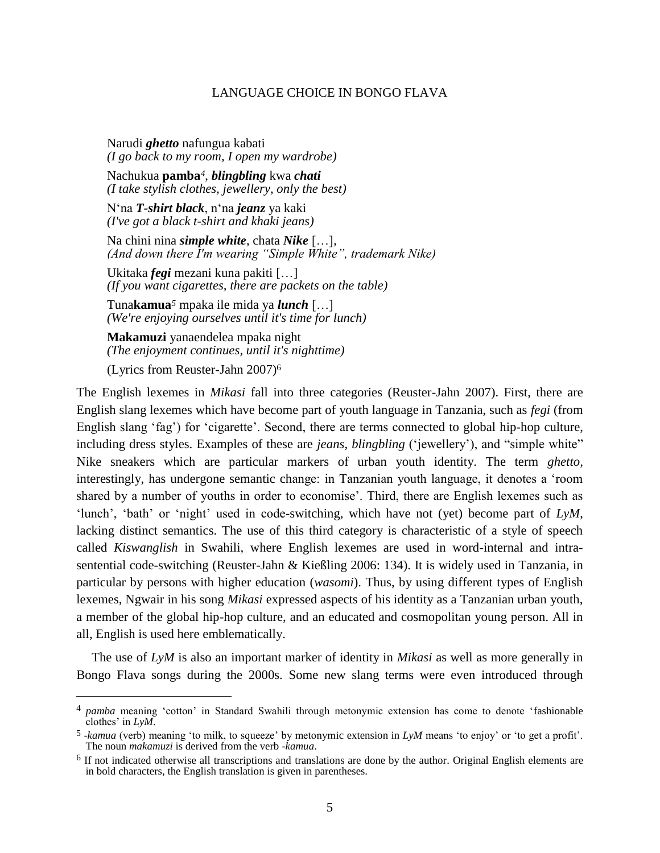Narudi *ghetto* nafungua kabati *(I go back to my room, I open my wardrobe)* 

Nachukua **pamba***4*, *blingbling* kwa *chati (I take stylish clothes, jewellery, only the best)*

N'na *T-shirt black*, n'na *jeanz* ya kaki *(I've got a black t-shirt and khaki jeans)*

Na chini nina *simple white*, chata *Nike* […]*, (And down there I'm wearing "Simple White", trademark Nike)*

Ukitaka *fegi* mezani kuna pakiti […] *(If you want cigarettes, there are packets on the table)*

Tuna**kamua***<sup>5</sup>* mpaka ile mida ya *lunch* […] *(We're enjoying ourselves until it's time for lunch)*

**Makamuzi** yanaendelea mpaka night *(The enjoyment continues, until it's nighttime)*

(Lyrics from Reuster-Jahn 2007)<sup>6</sup>

 $\overline{a}$ 

The English lexemes in *Mikasi* fall into three categories (Reuster-Jahn 2007). First, there are English slang lexemes which have become part of youth language in Tanzania, such as *fegi* (from English slang 'fag') for 'cigarette'. Second, there are terms connected to global hip-hop culture, including dress styles. Examples of these are *jeans, blingbling* ('jewellery'), and "simple white" Nike sneakers which are particular markers of urban youth identity. The term *ghetto,* interestingly, has undergone semantic change: in Tanzanian youth language, it denotes a 'room shared by a number of youths in order to economise'. Third, there are English lexemes such as 'lunch', 'bath' or 'night' used in code-switching, which have not (yet) become part of *LyM*, lacking distinct semantics. The use of this third category is characteristic of a style of speech called *Kiswanglish* in Swahili, where English lexemes are used in word-internal and intrasentential code-switching (Reuster-Jahn & Kießling 2006: 134). It is widely used in Tanzania, in particular by persons with higher education (*wasomi*). Thus, by using different types of English lexemes, Ngwair in his song *Mikasi* expressed aspects of his identity as a Tanzanian urban youth, a member of the global hip-hop culture, and an educated and cosmopolitan young person. All in all, English is used here emblematically.

The use of *LyM* is also an important marker of identity in *Mikasi* as well as more generally in Bongo Flava songs during the 2000s. Some new slang terms were even introduced through

<sup>4</sup> *pamba* meaning 'cotton' in Standard Swahili through metonymic extension has come to denote 'fashionable clothes' in *LyM*.

<sup>5</sup> -*kamua* (verb) meaning 'to milk, to squeeze' by metonymic extension in *LyM* means 'to enjoy' or 'to get a profit'. The noun *makamuzi* is derived from the verb -*kamua*.

 $6$  If not indicated otherwise all transcriptions and translations are done by the author. Original English elements are in bold characters, the English translation is given in parentheses.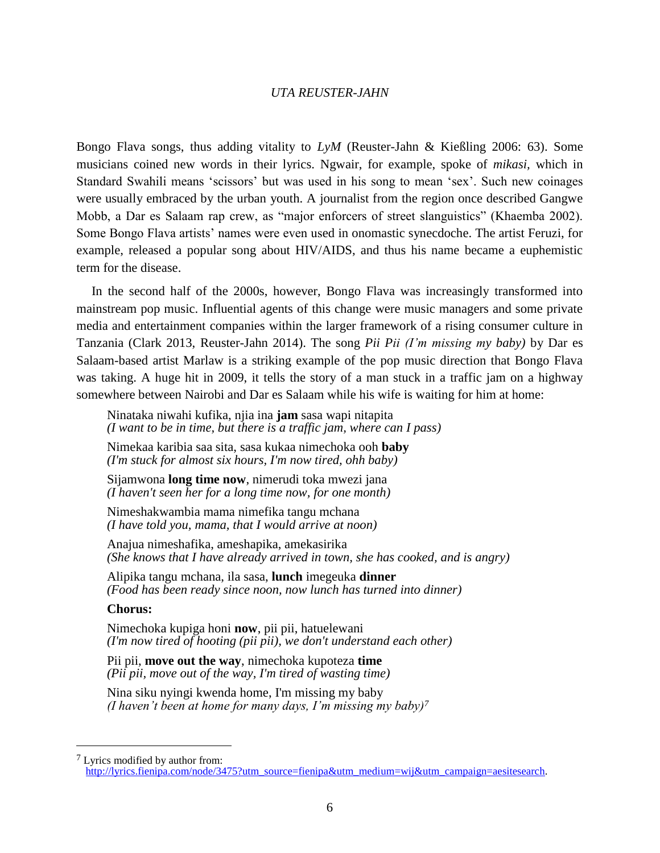Bongo Flava songs, thus adding vitality to *LyM* (Reuster-Jahn & Kießling 2006: 63). Some musicians coined new words in their lyrics. Ngwair, for example, spoke of *mikasi,* which in Standard Swahili means 'scissors' but was used in his song to mean 'sex'. Such new coinages were usually embraced by the urban youth. A journalist from the region once described Gangwe Mobb, a Dar es Salaam rap crew, as "major enforcers of street slanguistics" (Khaemba 2002). Some Bongo Flava artists' names were even used in onomastic synecdoche. The artist Feruzi, for example, released a popular song about HIV/AIDS, and thus his name became a euphemistic term for the disease.

In the second half of the 2000s, however, Bongo Flava was increasingly transformed into mainstream pop music. Influential agents of this change were music managers and some private media and entertainment companies within the larger framework of a rising consumer culture in Tanzania (Clark 2013, Reuster-Jahn 2014). The song *Pii Pii (I'm missing my baby)* by Dar es Salaam-based artist Marlaw is a striking example of the pop music direction that Bongo Flava was taking. A huge hit in 2009, it tells the story of a man stuck in a traffic jam on a highway somewhere between Nairobi and Dar es Salaam while his wife is waiting for him at home:

Ninataka niwahi kufika, njia ina **jam** sasa wapi nitapita *(I want to be in time, but there is a traffic jam, where can I pass)* 

Nimekaa karibia saa sita, sasa kukaa nimechoka ooh **baby** *(I'm stuck for almost six hours, I'm now tired, ohh baby)*

Sijamwona **long time now**, nimerudi toka mwezi jana *(I haven't seen her for a long time now, for one month)*

Nimeshakwambia mama nimefika tangu mchana *(I have told you, mama, that I would arrive at noon)*

Anajua nimeshafika, ameshapika, amekasirika *(She knows that I have already arrived in town, she has cooked, and is angry)* 

Alipika tangu mchana, ila sasa, **lunch** imegeuka **dinner** *(Food has been ready since noon, now lunch has turned into dinner)*

#### **Chorus:**

 $\overline{a}$ 

Nimechoka kupiga honi **now**, pii pii, hatuelewani *(I'm now tired of hooting (pii pii), we don't understand each other)*

Pii pii, **move out the way**, nimechoka kupoteza **time** *(Pii pii, move out of the way, I'm tired of wasting time)*

Nina siku nyingi kwenda home, I'm missing my baby *(I haven't been at home for many days, I'm missing my baby)<sup>7</sup>*

<sup>7</sup> Lyrics modified by author from: [http://lyrics.fienipa.com/node/3475?utm\\_source=fienipa&utm\\_medium=wij&utm\\_campaign=aesitesearch.](http://lyrics.fienipa.com/node/3475?utm_source=fienipa&utm_medium=wij&utm_campaign=aesitesearch)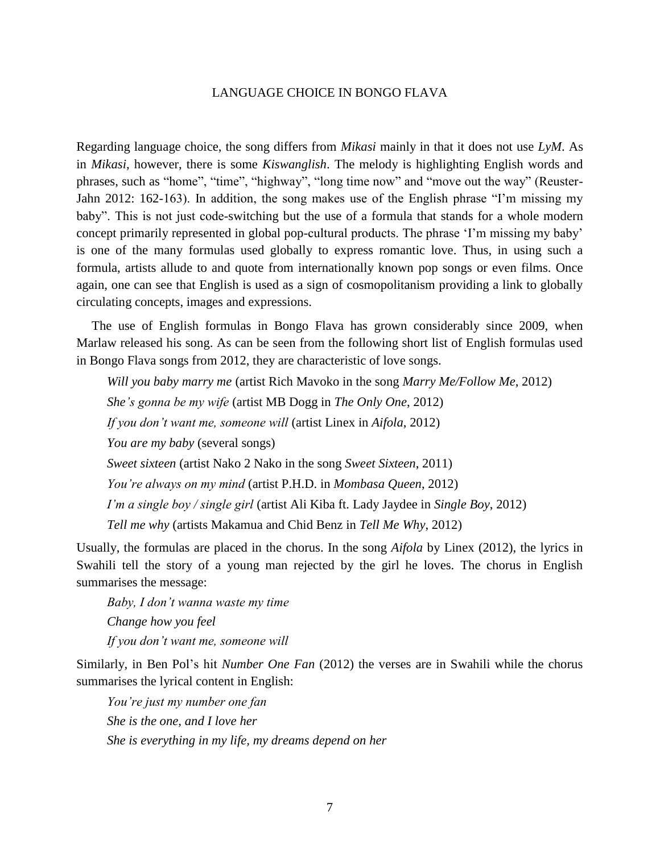Regarding language choice, the song differs from *Mikasi* mainly in that it does not use *LyM*. As in *Mikasi*, however, there is some *Kiswanglish*. The melody is highlighting English words and phrases, such as "home", "time", "highway", "long time now" and "move out the way" (Reuster-Jahn 2012: 162-163). In addition, the song makes use of the English phrase "I'm missing my baby". This is not just code-switching but the use of a formula that stands for a whole modern concept primarily represented in global pop-cultural products. The phrase 'I'm missing my baby' is one of the many formulas used globally to express romantic love. Thus, in using such a formula, artists allude to and quote from internationally known pop songs or even films. Once again, one can see that English is used as a sign of cosmopolitanism providing a link to globally circulating concepts, images and expressions.

The use of English formulas in Bongo Flava has grown considerably since 2009, when Marlaw released his song. As can be seen from the following short list of English formulas used in Bongo Flava songs from 2012, they are characteristic of love songs.

*Will you baby marry me* (artist Rich Mavoko in the song *Marry Me/Follow Me*, 2012) *She's gonna be my wife* (artist MB Dogg in *The Only One*, 2012) *If you don't want me, someone will* (artist Linex in *Aifola*, 2012) *You are my baby* (several songs) *Sweet sixteen* (artist Nako 2 Nako in the song *Sweet Sixteen*, 2011) *You're always on my mind* (artist P.H.D. in *Mombasa Queen*, 2012) *I'm a single boy / single girl* (artist Ali Kiba ft. Lady Jaydee in *Single Boy*, 2012) *Tell me why* (artists Makamua and Chid Benz in *Tell Me Why*, 2012)

Usually, the formulas are placed in the chorus. In the song *Aifola* by Linex (2012), the lyrics in Swahili tell the story of a young man rejected by the girl he loves. The chorus in English summarises the message:

*Baby, I don't wanna waste my time Change how you feel If you don't want me, someone will*

Similarly, in Ben Pol's hit *Number One Fan* (2012) the verses are in Swahili while the chorus summarises the lyrical content in English:

*You're just my number one fan She is the one, and I love her She is everything in my life, my dreams depend on her*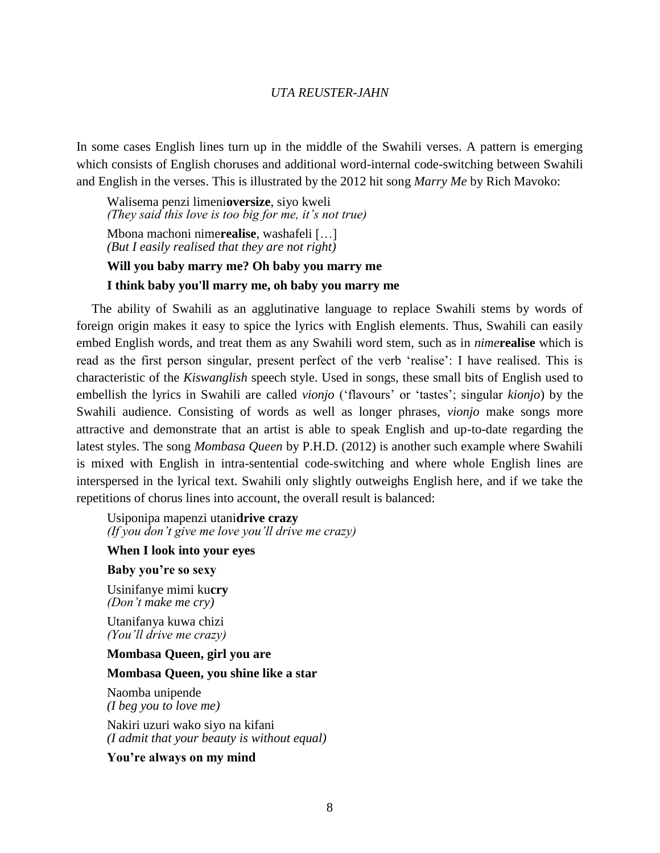In some cases English lines turn up in the middle of the Swahili verses. A pattern is emerging which consists of English choruses and additional word-internal code-switching between Swahili and English in the verses. This is illustrated by the 2012 hit song *Marry Me* by Rich Mavoko:

Walisema penzi limeni**oversize**, siyo kweli *(They said this love is too big for me, it's not true)* Mbona machoni nime**realise**, washafeli […]

*(But I easily realised that they are not right)*

# **Will you baby marry me? Oh baby you marry me**

#### **I think baby you'll marry me, oh baby you marry me**

The ability of Swahili as an agglutinative language to replace Swahili stems by words of foreign origin makes it easy to spice the lyrics with English elements. Thus, Swahili can easily embed English words, and treat them as any Swahili word stem, such as in *nime***realise** which is read as the first person singular, present perfect of the verb 'realise': I have realised. This is characteristic of the *Kiswanglish* speech style. Used in songs, these small bits of English used to embellish the lyrics in Swahili are called *vionjo* ('flavours' or 'tastes'; singular *kionjo*) by the Swahili audience. Consisting of words as well as longer phrases, *vionjo* make songs more attractive and demonstrate that an artist is able to speak English and up-to-date regarding the latest styles. The song *Mombasa Queen* by P.H.D. (2012) is another such example where Swahili is mixed with English in intra-sentential code-switching and where whole English lines are interspersed in the lyrical text. Swahili only slightly outweighs English here, and if we take the repetitions of chorus lines into account, the overall result is balanced:

Usiponipa mapenzi utani**drive crazy** *(If you don't give me love you'll drive me crazy)*

## **When I look into your eyes**

## **Baby you're so sexy**

Usinifanye mimi ku**cry** *(Don't make me cry)*

Utanifanya kuwa chizi *(You'll drive me crazy)*

## **Mombasa Queen, girl you are**

#### **Mombasa Queen, you shine like a star**

Naomba unipende *(I beg you to love me)*

Nakiri uzuri wako siyo na kifani *(I admit that your beauty is without equal)*

**You're always on my mind**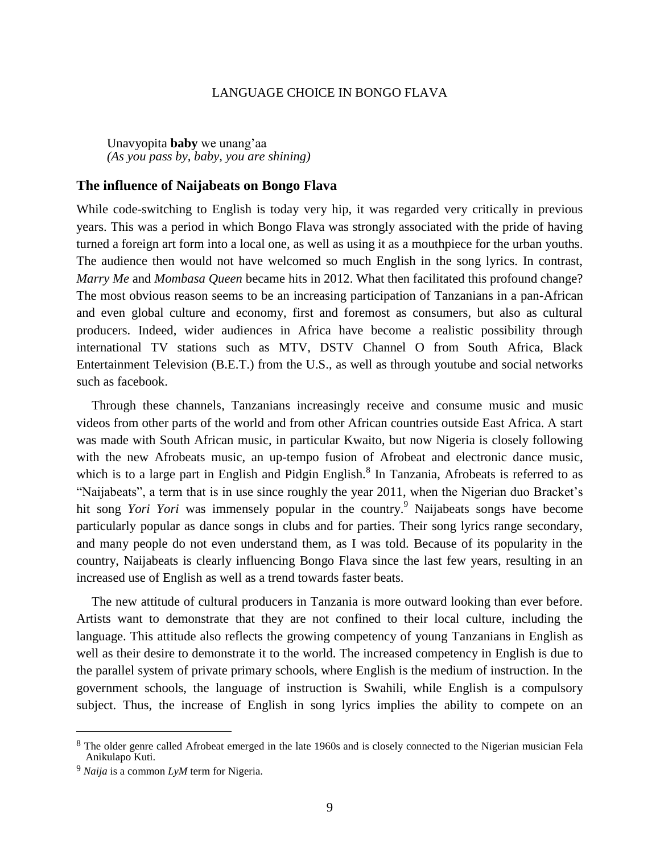Unavyopita **baby** we unang'aa *(As you pass by, baby, you are shining)*

## **The influence of Naijabeats on Bongo Flava**

While code-switching to English is today very hip, it was regarded very critically in previous years. This was a period in which Bongo Flava was strongly associated with the pride of having turned a foreign art form into a local one, as well as using it as a mouthpiece for the urban youths. The audience then would not have welcomed so much English in the song lyrics. In contrast, *Marry Me* and *Mombasa Queen* became hits in 2012. What then facilitated this profound change? The most obvious reason seems to be an increasing participation of Tanzanians in a pan-African and even global culture and economy, first and foremost as consumers, but also as cultural producers. Indeed, wider audiences in Africa have become a realistic possibility through international TV stations such as MTV, DSTV Channel O from South Africa, Black Entertainment Television (B.E.T.) from the U.S., as well as through youtube and social networks such as facebook.

Through these channels, Tanzanians increasingly receive and consume music and music videos from other parts of the world and from other African countries outside East Africa. A start was made with South African music, in particular Kwaito, but now Nigeria is closely following with the new Afrobeats music, an up-tempo fusion of Afrobeat and electronic dance music, which is to a large part in English and Pidgin English.<sup>8</sup> In Tanzania, Afrobeats is referred to as "Naijabeats", a term that is in use since roughly the year 2011, when the Nigerian duo Bracket's hit song *Yori Yori* was immensely popular in the country. <sup>9</sup> Naijabeats songs have become particularly popular as dance songs in clubs and for parties. Their song lyrics range secondary, and many people do not even understand them, as I was told. Because of its popularity in the country, Naijabeats is clearly influencing Bongo Flava since the last few years, resulting in an increased use of English as well as a trend towards faster beats.

The new attitude of cultural producers in Tanzania is more outward looking than ever before. Artists want to demonstrate that they are not confined to their local culture, including the language. This attitude also reflects the growing competency of young Tanzanians in English as well as their desire to demonstrate it to the world. The increased competency in English is due to the parallel system of private primary schools, where English is the medium of instruction. In the government schools, the language of instruction is Swahili, while English is a compulsory subject. Thus, the increase of English in song lyrics implies the ability to compete on an

<sup>&</sup>lt;sup>8</sup> The older genre called Afrobeat emerged in the late 1960s and is closely connected to the Nigerian musician Fela Anikulapo Kuti.

<sup>9</sup> *Naija* is a common *LyM* term for Nigeria.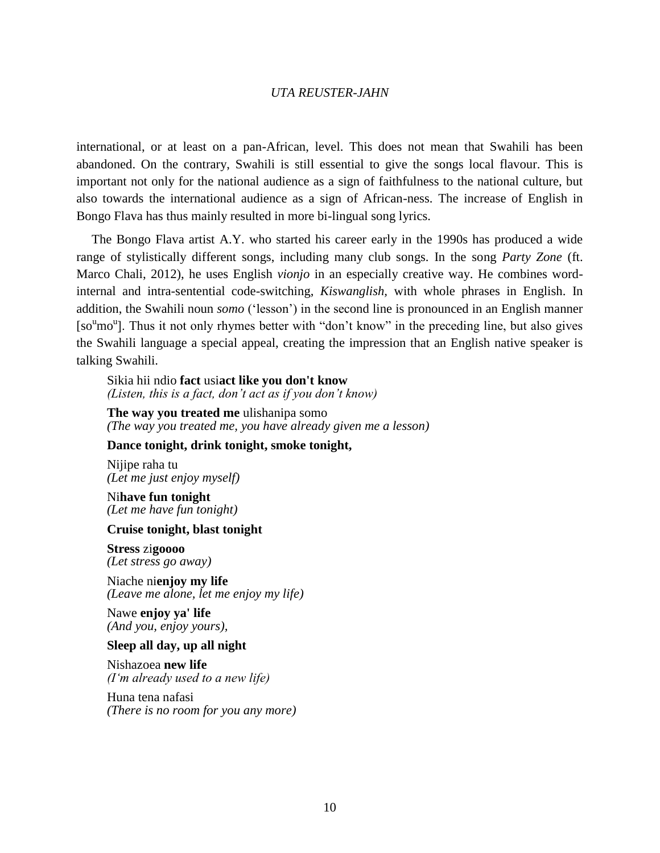international, or at least on a pan-African, level. This does not mean that Swahili has been abandoned. On the contrary, Swahili is still essential to give the songs local flavour. This is important not only for the national audience as a sign of faithfulness to the national culture, but also towards the international audience as a sign of African-ness. The increase of English in Bongo Flava has thus mainly resulted in more bi-lingual song lyrics.

The Bongo Flava artist A.Y. who started his career early in the 1990s has produced a wide range of stylistically different songs, including many club songs. In the song *Party Zone* (ft. Marco Chali, 2012), he uses English *vionjo* in an especially creative way. He combines wordinternal and intra-sentential code-switching, *Kiswanglish,* with whole phrases in English. In addition, the Swahili noun *somo* ('lesson') in the second line is pronounced in an English manner [so<sup>u</sup>mo<sup>u</sup>]. Thus it not only rhymes better with "don't know" in the preceding line, but also gives the Swahili language a special appeal, creating the impression that an English native speaker is talking Swahili.

#### Sikia hii ndio **fact** usi**act like you don't know** *(Listen, this is a fact, don't act as if you don't know)*

**The way you treated me** ulishanipa somo *(The way you treated me, you have already given me a lesson)*

## **Dance tonight, drink tonight, smoke tonight,**

Nijipe raha tu *(Let me just enjoy myself)*

Ni**have fun tonight** *(Let me have fun tonight)*

## **Cruise tonight, blast tonight**

**Stress** zi**goooo** *(Let stress go away)*

Niache ni**enjoy my life** *(Leave me alone, let me enjoy my life)*

Nawe **enjoy ya' life** *(And you, enjoy yours),*

#### **Sleep all day, up all night**

Nishazoea **new life** *(I'm already used to a new life)*

Huna tena nafasi *(There is no room for you any more)*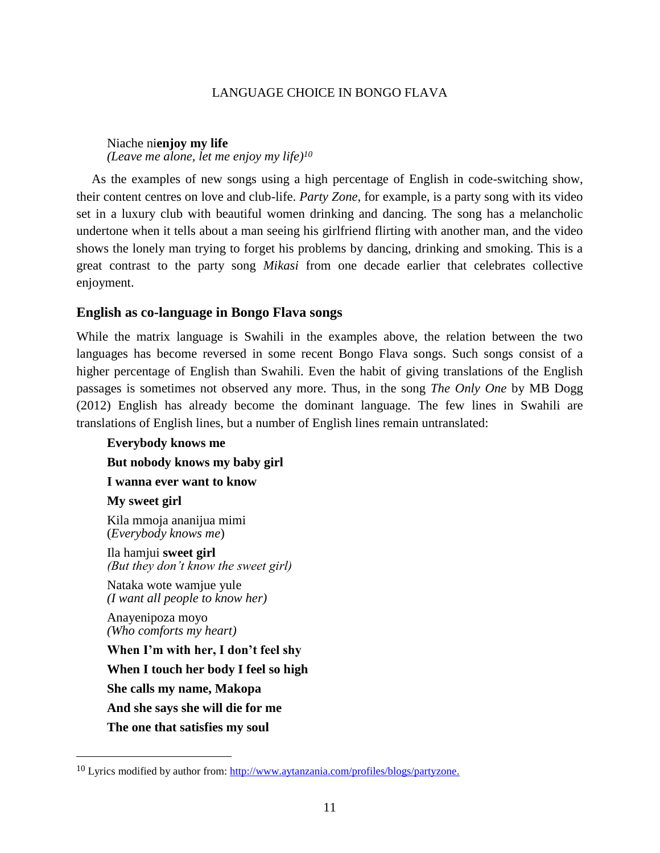Niache ni**enjoy my life** *(Leave me alone, let me enjoy my life)<sup>10</sup>*

As the examples of new songs using a high percentage of English in code-switching show, their content centres on love and club-life. *Party Zone*, for example, is a party song with its video set in a luxury club with beautiful women drinking and dancing. The song has a melancholic undertone when it tells about a man seeing his girlfriend flirting with another man, and the video shows the lonely man trying to forget his problems by dancing, drinking and smoking. This is a great contrast to the party song *Mikasi* from one decade earlier that celebrates collective enjoyment.

## **English as co-language in Bongo Flava songs**

While the matrix language is Swahili in the examples above, the relation between the two languages has become reversed in some recent Bongo Flava songs. Such songs consist of a higher percentage of English than Swahili. Even the habit of giving translations of the English passages is sometimes not observed any more. Thus, in the song *The Only One* by MB Dogg (2012) English has already become the dominant language. The few lines in Swahili are translations of English lines, but a number of English lines remain untranslated:

**Everybody knows me But nobody knows my baby girl I wanna ever want to know My sweet girl** Kila mmoja ananijua mimi (*Everybody knows me*) Ila hamjui **sweet girl**  *(But they don't know the sweet girl)* Nataka wote wamjue yule *(I want all people to know her)*

Anayenipoza moyo *(Who comforts my heart)*

 $\overline{a}$ 

**When I'm with her, I don't feel shy When I touch her body I feel so high She calls my name, Makopa And she says she will die for me The one that satisfies my soul**

 $10$  Lyrics modified by author from: http://www.aytanzania.com/profiles/blogs/partyzone.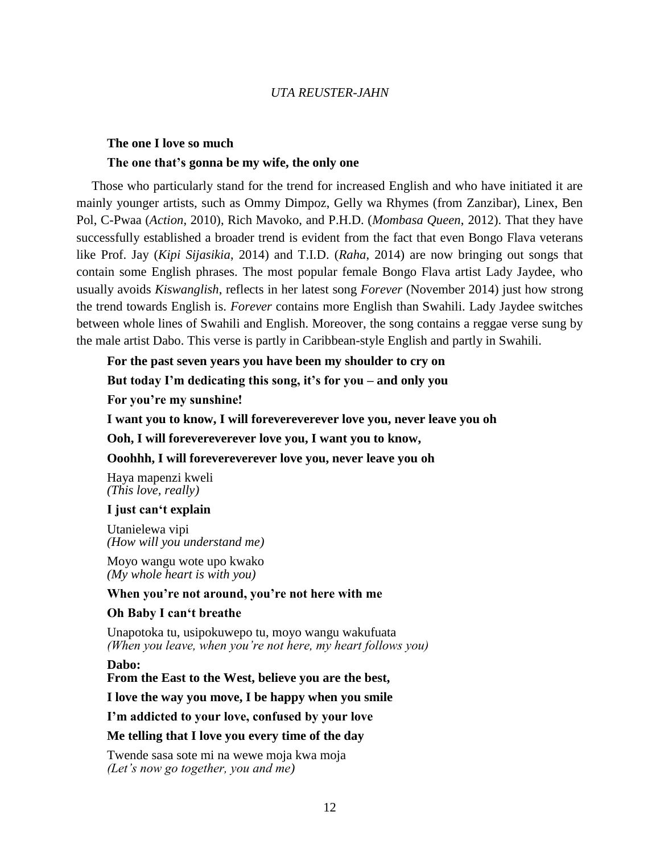## **The one I love so much**

## **The one that's gonna be my wife, the only one**

Those who particularly stand for the trend for increased English and who have initiated it are mainly younger artists, such as Ommy Dimpoz, Gelly wa Rhymes (from Zanzibar), Linex, Ben Pol, C-Pwaa (*Action*, 2010), Rich Mavoko, and P.H.D. (*Mombasa Queen*, 2012). That they have successfully established a broader trend is evident from the fact that even Bongo Flava veterans like Prof. Jay (*Kipi Sijasikia*, 2014) and T.I.D. (*Raha*, 2014) are now bringing out songs that contain some English phrases. The most popular female Bongo Flava artist Lady Jaydee, who usually avoids *Kiswanglish*, reflects in her latest song *Forever* (November 2014) just how strong the trend towards English is. *Forever* contains more English than Swahili. Lady Jaydee switches between whole lines of Swahili and English. Moreover, the song contains a reggae verse sung by the male artist Dabo. This verse is partly in Caribbean-style English and partly in Swahili.

## **For the past seven years you have been my shoulder to cry on**

**But today I'm dedicating this song, it's for you – and only you**

**For you're my sunshine!**

**I want you to know, I will forevereverever love you, never leave you oh**

**Ooh, I will forevereverever love you, I want you to know,**

## **Ooohhh, I will forevereverever love you, never leave you oh**

Haya mapenzi kweli *(This love, really)*

#### **I just can't explain**

Utanielewa vipi *(How will you understand me)*

Moyo wangu wote upo kwako *(My whole heart is with you)*

## **When you're not around, you're not here with me**

## **Oh Baby I can't breathe**

Unapotoka tu, usipokuwepo tu, moyo wangu wakufuata *(When you leave, when you're not here, my heart follows you)*

**Dabo:**

**From the East to the West, believe you are the best,**

**I love the way you move, I be happy when you smile**

**I'm addicted to your love, confused by your love**

## **Me telling that I love you every time of the day**

Twende sasa sote mi na wewe moja kwa moja *(Let's now go together, you and me)*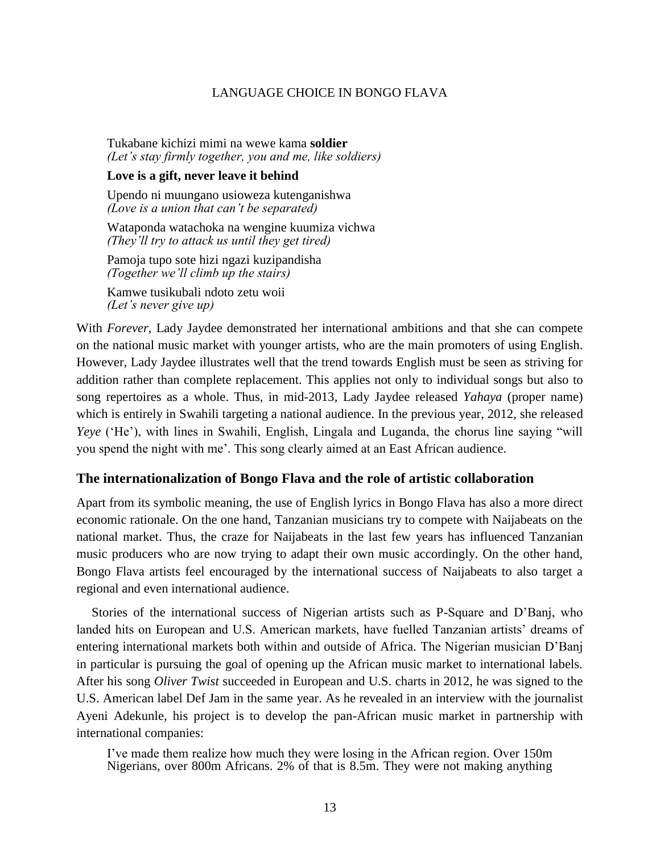Tukabane kichizi mimi na wewe kama **soldier** *(Let's stay firmly together, you and me, like soldiers)*

#### **Love is a gift, never leave it behind**

Upendo ni muungano usioweza kutenganishwa *(Love is a union that can't be separated)*

Wataponda watachoka na wengine kuumiza vichwa *(They'll try to attack us until they get tired)*

Pamoja tupo sote hizi ngazi kuzipandisha *(Together we'll climb up the stairs)*

Kamwe tusikubali ndoto zetu woii *(Let's never give up)*

With *Forever*, Lady Jaydee demonstrated her international ambitions and that she can compete on the national music market with younger artists, who are the main promoters of using English. However, Lady Jaydee illustrates well that the trend towards English must be seen as striving for addition rather than complete replacement. This applies not only to individual songs but also to song repertoires as a whole. Thus, in mid-2013, Lady Jaydee released *Yahaya* (proper name) which is entirely in Swahili targeting a national audience. In the previous year, 2012, she released *Yeye* ('He'), with lines in Swahili, English, Lingala and Luganda, the chorus line saying "will you spend the night with me'. This song clearly aimed at an East African audience.

## **The internationalization of Bongo Flava and the role of artistic collaboration**

Apart from its symbolic meaning, the use of English lyrics in Bongo Flava has also a more direct economic rationale. On the one hand, Tanzanian musicians try to compete with Naijabeats on the national market. Thus, the craze for Naijabeats in the last few years has influenced Tanzanian music producers who are now trying to adapt their own music accordingly. On the other hand, Bongo Flava artists feel encouraged by the international success of Naijabeats to also target a regional and even international audience.

Stories of the international success of Nigerian artists such as P-Square and D'Banj, who landed hits on European and U.S. American markets, have fuelled Tanzanian artists' dreams of entering international markets both within and outside of Africa. The Nigerian musician D'Banj in particular is pursuing the goal of opening up the African music market to international labels. After his song *Oliver Twist* succeeded in European and U.S. charts in 2012, he was signed to the U.S. American label Def Jam in the same year. As he revealed in an interview with the journalist Ayeni Adekunle, his project is to develop the pan-African music market in partnership with international companies:

I've made them realize how much they were losing in the African region. Over 150m Nigerians, over 800m Africans. 2% of that is 8.5m. They were not making anything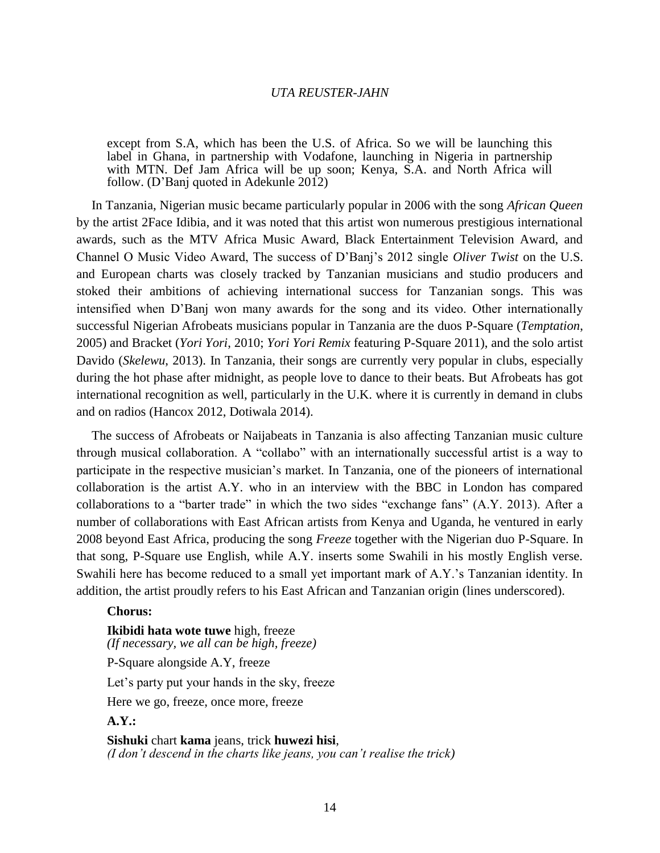except from S.A, which has been the U.S. of Africa. So we will be launching this label in Ghana, in partnership with Vodafone, launching in Nigeria in partnership with MTN. Def Jam Africa will be up soon; Kenya, S.A. and North Africa will follow. (D'Banj quoted in Adekunle 2012)

In Tanzania, Nigerian music became particularly popular in 2006 with the song *African Queen* by the artist 2Face Idibia, and it was noted that this artist won numerous prestigious international awards, such as the MTV Africa Music Award, Black Entertainment Television Award, and Channel O Music Video Award, The success of D'Banj's 2012 single *Oliver Twist* on the U.S. and European charts was closely tracked by Tanzanian musicians and studio producers and stoked their ambitions of achieving international success for Tanzanian songs. This was intensified when D'Banj won many awards for the song and its video. Other internationally successful Nigerian Afrobeats musicians popular in Tanzania are the duos P-Square (*Temptation*, 2005) and Bracket (*Yori Yori*, 2010; *Yori Yori Remix* featuring P-Square 2011), and the solo artist Davido (*Skelewu*, 2013). In Tanzania, their songs are currently very popular in clubs, especially during the hot phase after midnight, as people love to dance to their beats. But Afrobeats has got international recognition as well, particularly in the U.K. where it is currently in demand in clubs and on radios (Hancox 2012, Dotiwala 2014).

The success of Afrobeats or Naijabeats in Tanzania is also affecting Tanzanian music culture through musical collaboration. A "collabo" with an internationally successful artist is a way to participate in the respective musician's market. In Tanzania, one of the pioneers of international collaboration is the artist A.Y. who in an interview with the BBC in London has compared collaborations to a "barter trade" in which the two sides "exchange fans" (A.Y. 2013). After a number of collaborations with East African artists from Kenya and Uganda, he ventured in early 2008 beyond East Africa, producing the song *Freeze* together with the Nigerian duo P-Square. In that song, P-Square use English, while A.Y. inserts some Swahili in his mostly English verse. Swahili here has become reduced to a small yet important mark of A.Y.'s Tanzanian identity. In addition, the artist proudly refers to his East African and Tanzanian origin (lines underscored).

#### **Chorus:**

**Ikibidi hata wote tuwe** high, freeze *(If necessary, we all can be high, freeze)* P-Square alongside A.Y, freeze Let's party put your hands in the sky, freeze Here we go, freeze, once more, freeze **A.Y.: Sishuki** chart **kama** jeans, trick **huwezi hisi**,

*(I don't descend in the charts like jeans, you can't realise the trick)*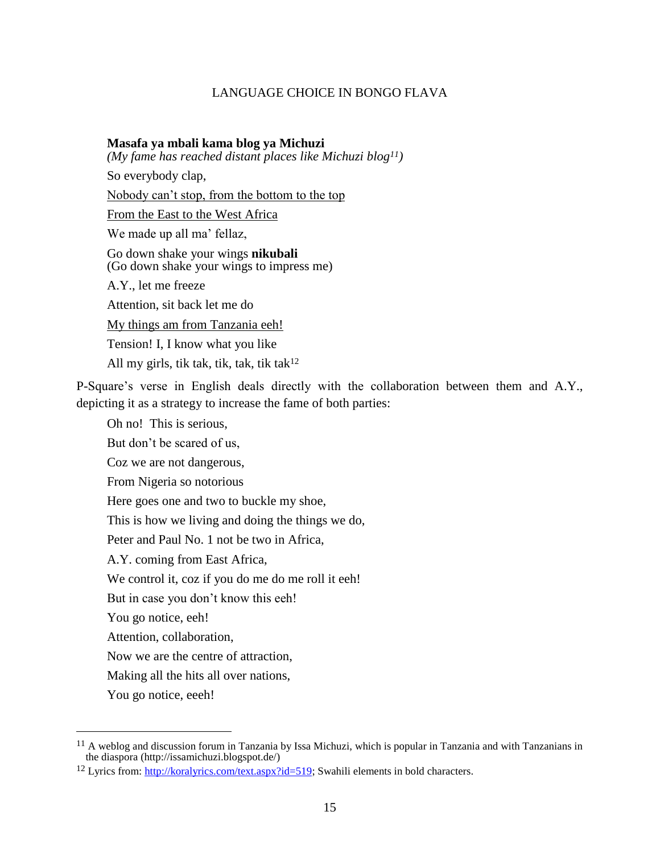#### **Masafa ya mbali kama blog ya Michuzi**

*(My fame has reached distant places like Michuzi blog11)*

So everybody clap,

Nobody can't stop, from the bottom to the top

From the East to the West Africa

We made up all ma' fellaz,

Go down shake your wings **nikubali** (Go down shake your wings to impress me)

A.Y., let me freeze

Attention, sit back let me do

My things am from Tanzania eeh!

Tension! I, I know what you like

All my girls, tik tak, tik, tak, tik tak<sup>12</sup>

P-Square's verse in English deals directly with the collaboration between them and A.Y., depicting it as a strategy to increase the fame of both parties:

Oh no! This is serious,

But don't be scared of us,

Coz we are not dangerous,

From Nigeria so notorious

Here goes one and two to buckle my shoe,

This is how we living and doing the things we do,

Peter and Paul No. 1 not be two in Africa,

A.Y. coming from East Africa,

We control it, coz if you do me do me roll it eeh!

But in case you don't know this eeh!

You go notice, eeh!

Attention, collaboration,

Now we are the centre of attraction,

Making all the hits all over nations,

You go notice, eeeh!

<sup>11</sup> A weblog and discussion forum in Tanzania by Issa Michuzi, which is popular in Tanzania and with Tanzanians in the diaspora (http://issamichuzi.blogspot.de/)

<sup>12</sup> Lyrics from: http://koralyrics.com/text.aspx?id=519; Swahili elements in bold characters.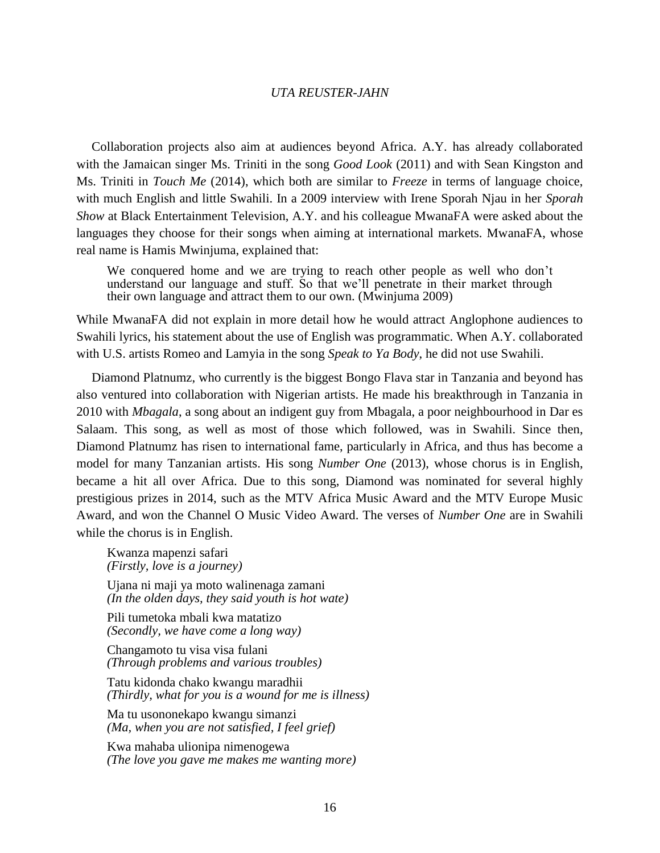Collaboration projects also aim at audiences beyond Africa. A.Y. has already collaborated with the Jamaican singer Ms. Triniti in the song *Good Look* (2011) and with Sean Kingston and Ms. Triniti in *Touch Me* (2014), which both are similar to *Freeze* in terms of language choice, with much English and little Swahili. In a 2009 interview with Irene Sporah Njau in her *Sporah Show* at Black Entertainment Television, A.Y. and his colleague MwanaFA were asked about the languages they choose for their songs when aiming at international markets. MwanaFA, whose real name is Hamis Mwinjuma, explained that:

We conquered home and we are trying to reach other people as well who don't understand our language and stuff. So that we'll penetrate in their market through their own language and attract them to our own. (Mwinjuma 2009)

While MwanaFA did not explain in more detail how he would attract Anglophone audiences to Swahili lyrics, his statement about the use of English was programmatic. When A.Y. collaborated with U.S. artists Romeo and Lamyia in the song *Speak to Ya Body*, he did not use Swahili.

Diamond Platnumz, who currently is the biggest Bongo Flava star in Tanzania and beyond has also ventured into collaboration with Nigerian artists. He made his breakthrough in Tanzania in 2010 with *Mbagala*, a song about an indigent guy from Mbagala, a poor neighbourhood in Dar es Salaam. This song, as well as most of those which followed, was in Swahili. Since then, Diamond Platnumz has risen to international fame, particularly in Africa, and thus has become a model for many Tanzanian artists. His song *Number One* (2013), whose chorus is in English, became a hit all over Africa. Due to this song, Diamond was nominated for several highly prestigious prizes in 2014, such as the MTV Africa Music Award and the MTV Europe Music Award, and won the Channel O Music Video Award. The verses of *Number One* are in Swahili while the chorus is in English.

Kwanza mapenzi safari *(Firstly, love is a journey)*

Ujana ni maji ya moto walinenaga zamani *(In the olden days, they said youth is hot wate)*

Pili tumetoka mbali kwa matatizo *(Secondly, we have come a long way)*

Changamoto tu visa visa fulani *(Through problems and various troubles)*

Tatu kidonda chako kwangu maradhii *(Thirdly, what for you is a wound for me is illness)*

Ma tu usononekapo kwangu simanzi *(Ma, when you are not satisfied, I feel grief)*

Kwa mahaba ulionipa nimenogewa *(The love you gave me makes me wanting more)*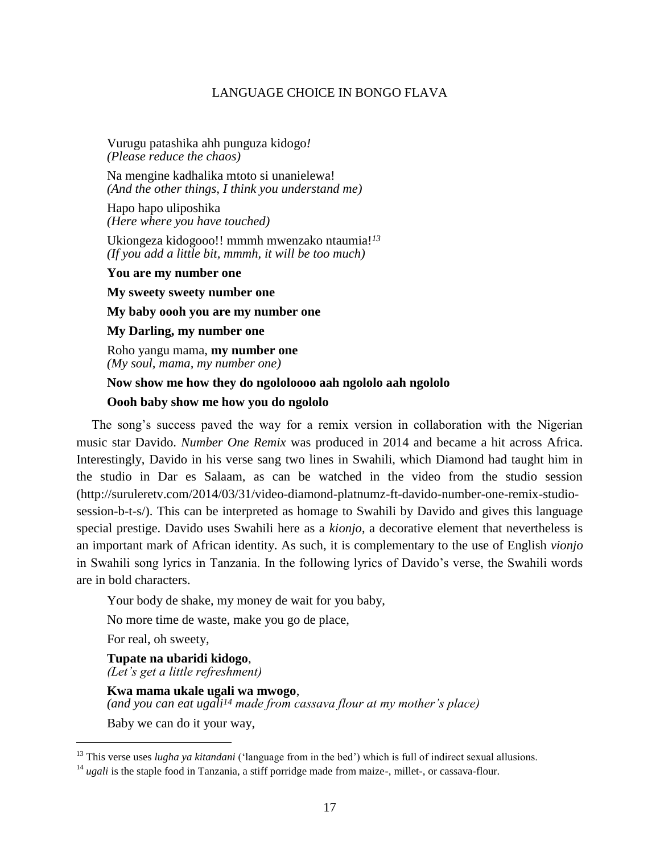Vurugu patashika ahh punguza kidogo*! (Please reduce the chaos)*

Na mengine kadhalika mtoto si unanielewa! *(And the other things, I think you understand me)*

Hapo hapo uliposhika *(Here where you have touched)*

Ukiongeza kidogooo!! mmmh mwenzako ntaumia!*<sup>13</sup> (If you add a little bit, mmmh, it will be too much)*

**You are my number one**

**My sweety sweety number one**

**My baby oooh you are my number one**

**My Darling, my number one**

Roho yangu mama, **my number one** *(My soul, mama, my number one)*

### **Now show me how they do ngololoooo aah ngololo aah ngololo**

#### **Oooh baby show me how you do ngololo**

The song's success paved the way for a remix version in collaboration with the Nigerian music star Davido. *Number One Remix* was produced in 2014 and became a hit across Africa. Interestingly, Davido in his verse sang two lines in Swahili, which Diamond had taught him in the studio in Dar es Salaam, as can be watched in the video from the studio session (http://suruleretv.com/2014/03/31/video-diamond-platnumz-ft-davido-number-one-remix-studiosession-b-t-s/). This can be interpreted as homage to Swahili by Davido and gives this language special prestige. Davido uses Swahili here as a *kionjo*, a decorative element that nevertheless is an important mark of African identity. As such, it is complementary to the use of English *vionjo* in Swahili song lyrics in Tanzania. In the following lyrics of Davido's verse, the Swahili words are in bold characters.

Your body de shake, my money de wait for you baby,

No more time de waste, make you go de place,

For real, oh sweety,

 $\overline{a}$ 

**Tupate na ubaridi kidogo**, *(Let's get a little refreshment)*

**Kwa mama ukale ugali wa mwogo**, *(and you can eat ugali<sup>14</sup> made from cassava flour at my mother's place)*

Baby we can do it your way,

<sup>&</sup>lt;sup>13</sup> This verse uses *lugha ya kitandani* ('language from in the bed') which is full of indirect sexual allusions.

<sup>&</sup>lt;sup>14</sup> *ugali* is the staple food in Tanzania, a stiff porridge made from maize-, millet-, or cassava-flour.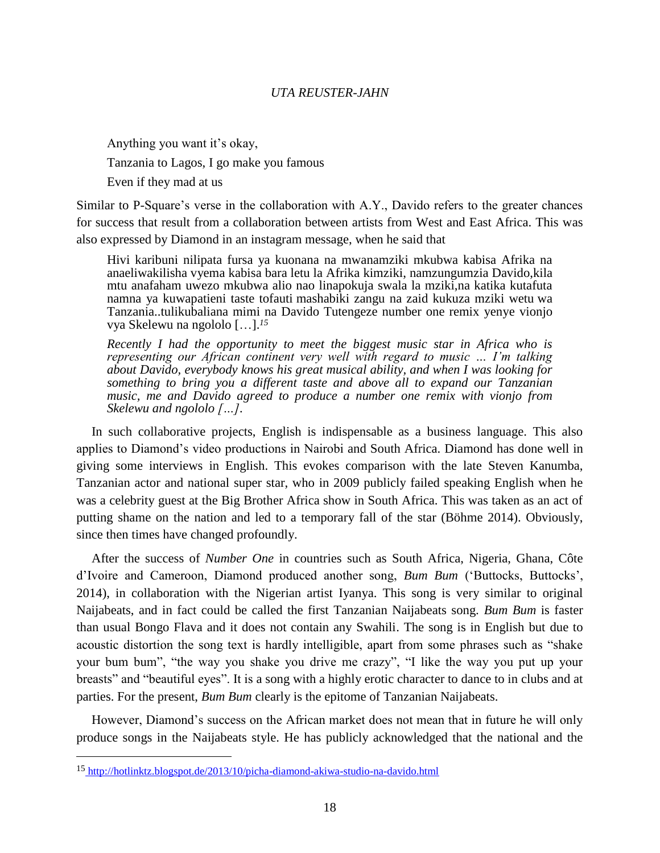Anything you want it's okay, Tanzania to Lagos, I go make you famous Even if they mad at us

Similar to P-Square's verse in the collaboration with A.Y., Davido refers to the greater chances for success that result from a collaboration between artists from West and East Africa. This was also expressed by Diamond in an instagram message, when he said that

Hivi karibuni nilipata fursa ya kuonana na mwanamziki mkubwa kabisa Afrika na anaeliwakilisha vyema kabisa bara letu la Afrika kimziki, namzungumzia Davido,kila mtu anafaham uwezo mkubwa alio nao linapokuja swala la mziki,na katika kutafuta namna ya kuwapatieni taste tofauti mashabiki zangu na zaid kukuza mziki wetu wa Tanzania..tulikubaliana mimi na Davido Tutengeze number one remix yenye vionjo vya Skelewu na ngololo […]. *15*

*Recently I had the opportunity to meet the biggest music star in Africa who is representing our African continent very well with regard to music … I'm talking about Davido, everybody knows his great musical ability, and when I was looking for something to bring you a different taste and above all to expand our Tanzanian music, me and Davido agreed to produce a number one remix with vionjo from Skelewu and ngololo […].*

In such collaborative projects, English is indispensable as a business language. This also applies to Diamond's video productions in Nairobi and South Africa. Diamond has done well in giving some interviews in English. This evokes comparison with the late Steven Kanumba, Tanzanian actor and national super star, who in 2009 publicly failed speaking English when he was a celebrity guest at the Big Brother Africa show in South Africa. This was taken as an act of putting shame on the nation and led to a temporary fall of the star (Böhme 2014). Obviously, since then times have changed profoundly.

After the success of *Number One* in countries such as South Africa, Nigeria, Ghana, Côte d'Ivoire and Cameroon, Diamond produced another song, *Bum Bum* ('Buttocks, Buttocks', 2014), in collaboration with the Nigerian artist Iyanya. This song is very similar to original Naijabeats, and in fact could be called the first Tanzanian Naijabeats song. *Bum Bum* is faster than usual Bongo Flava and it does not contain any Swahili. The song is in English but due to acoustic distortion the song text is hardly intelligible, apart from some phrases such as "shake your bum bum", "the way you shake you drive me crazy", "I like the way you put up your breasts" and "beautiful eyes". It is a song with a highly erotic character to dance to in clubs and at parties. For the present, *Bum Bum* clearly is the epitome of Tanzanian Naijabeats.

However, Diamond's success on the African market does not mean that in future he will only produce songs in the Naijabeats style. He has publicly acknowledged that the national and the

<sup>15</sup> http://hotlinktz.blogspot.de/2013/10/picha-diamond-akiwa-studio-na-davido.html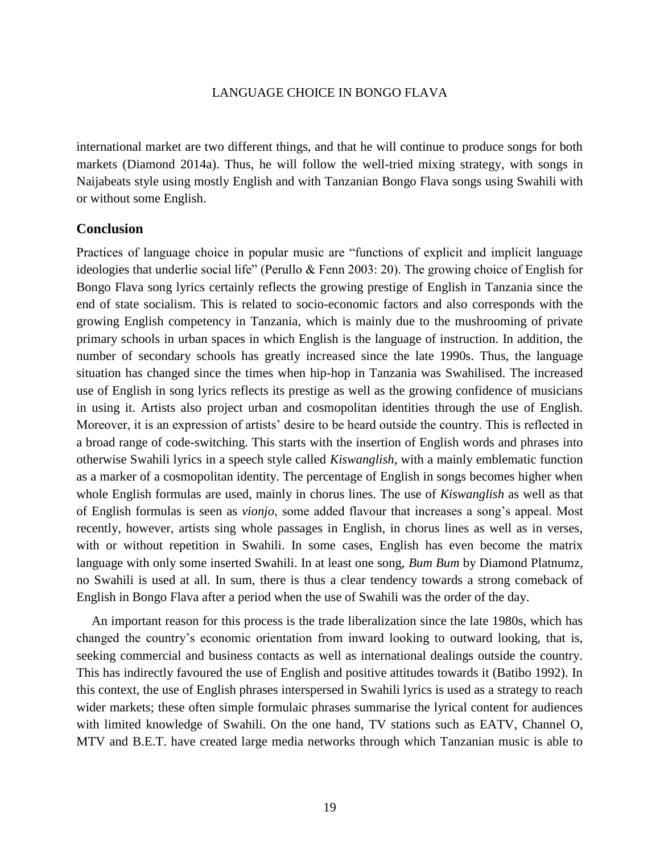international market are two different things, and that he will continue to produce songs for both markets (Diamond 2014a). Thus, he will follow the well-tried mixing strategy, with songs in Naijabeats style using mostly English and with Tanzanian Bongo Flava songs using Swahili with or without some English.

## **Conclusion**

Practices of language choice in popular music are "functions of explicit and implicit language ideologies that underlie social life" (Perullo & Fenn 2003: 20). The growing choice of English for Bongo Flava song lyrics certainly reflects the growing prestige of English in Tanzania since the end of state socialism. This is related to socio-economic factors and also corresponds with the growing English competency in Tanzania, which is mainly due to the mushrooming of private primary schools in urban spaces in which English is the language of instruction. In addition, the number of secondary schools has greatly increased since the late 1990s. Thus, the language situation has changed since the times when hip-hop in Tanzania was Swahilised. The increased use of English in song lyrics reflects its prestige as well as the growing confidence of musicians in using it. Artists also project urban and cosmopolitan identities through the use of English. Moreover, it is an expression of artists' desire to be heard outside the country. This is reflected in a broad range of code-switching. This starts with the insertion of English words and phrases into otherwise Swahili lyrics in a speech style called *Kiswanglish*, with a mainly emblematic function as a marker of a cosmopolitan identity. The percentage of English in songs becomes higher when whole English formulas are used, mainly in chorus lines. The use of *Kiswanglish* as well as that of English formulas is seen as *vionjo*, some added flavour that increases a song's appeal. Most recently, however, artists sing whole passages in English, in chorus lines as well as in verses, with or without repetition in Swahili. In some cases, English has even become the matrix language with only some inserted Swahili. In at least one song, *Bum Bum* by Diamond Platnumz, no Swahili is used at all. In sum, there is thus a clear tendency towards a strong comeback of English in Bongo Flava after a period when the use of Swahili was the order of the day.

An important reason for this process is the trade liberalization since the late 1980s, which has changed the country's economic orientation from inward looking to outward looking, that is, seeking commercial and business contacts as well as international dealings outside the country. This has indirectly favoured the use of English and positive attitudes towards it (Batibo 1992). In this context, the use of English phrases interspersed in Swahili lyrics is used as a strategy to reach wider markets; these often simple formulaic phrases summarise the lyrical content for audiences with limited knowledge of Swahili. On the one hand, TV stations such as EATV, Channel O, MTV and B.E.T. have created large media networks through which Tanzanian music is able to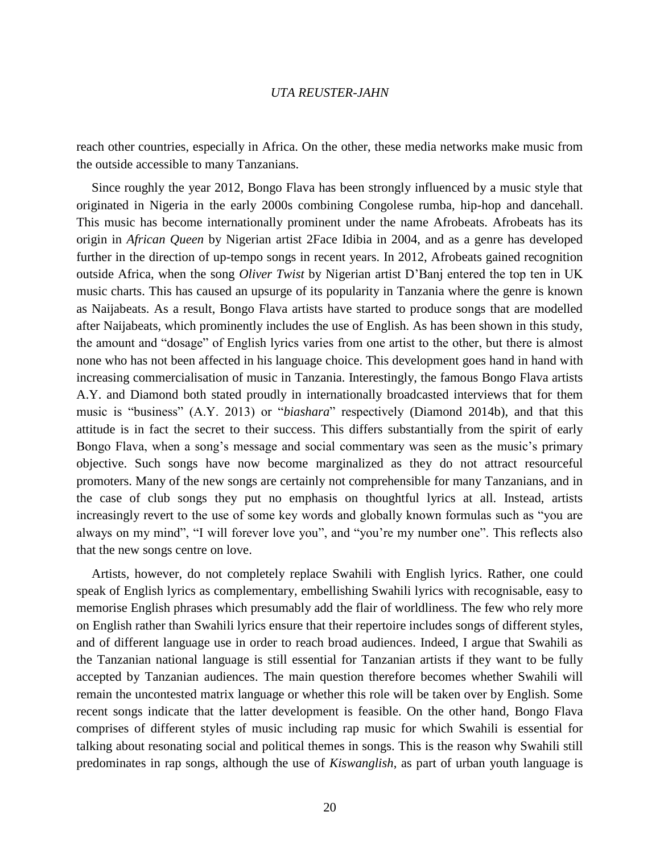reach other countries, especially in Africa. On the other, these media networks make music from the outside accessible to many Tanzanians.

Since roughly the year 2012, Bongo Flava has been strongly influenced by a music style that originated in Nigeria in the early 2000s combining Congolese rumba, hip-hop and dancehall. This music has become internationally prominent under the name Afrobeats. Afrobeats has its origin in *African Queen* by Nigerian artist 2Face Idibia in 2004, and as a genre has developed further in the direction of up-tempo songs in recent years. In 2012, Afrobeats gained recognition outside Africa, when the song *Oliver Twist* by Nigerian artist D'Banj entered the top ten in UK music charts. This has caused an upsurge of its popularity in Tanzania where the genre is known as Naijabeats. As a result, Bongo Flava artists have started to produce songs that are modelled after Naijabeats, which prominently includes the use of English. As has been shown in this study, the amount and "dosage" of English lyrics varies from one artist to the other, but there is almost none who has not been affected in his language choice. This development goes hand in hand with increasing commercialisation of music in Tanzania. Interestingly, the famous Bongo Flava artists A.Y. and Diamond both stated proudly in internationally broadcasted interviews that for them music is "business" (A.Y. 2013) or "*biashara*" respectively (Diamond 2014b), and that this attitude is in fact the secret to their success. This differs substantially from the spirit of early Bongo Flava, when a song's message and social commentary was seen as the music's primary objective. Such songs have now become marginalized as they do not attract resourceful promoters. Many of the new songs are certainly not comprehensible for many Tanzanians, and in the case of club songs they put no emphasis on thoughtful lyrics at all. Instead, artists increasingly revert to the use of some key words and globally known formulas such as "you are always on my mind", "I will forever love you", and "you're my number one". This reflects also that the new songs centre on love.

Artists, however, do not completely replace Swahili with English lyrics. Rather, one could speak of English lyrics as complementary, embellishing Swahili lyrics with recognisable, easy to memorise English phrases which presumably add the flair of worldliness. The few who rely more on English rather than Swahili lyrics ensure that their repertoire includes songs of different styles, and of different language use in order to reach broad audiences. Indeed, I argue that Swahili as the Tanzanian national language is still essential for Tanzanian artists if they want to be fully accepted by Tanzanian audiences. The main question therefore becomes whether Swahili will remain the uncontested matrix language or whether this role will be taken over by English. Some recent songs indicate that the latter development is feasible. On the other hand, Bongo Flava comprises of different styles of music including rap music for which Swahili is essential for talking about resonating social and political themes in songs. This is the reason why Swahili still predominates in rap songs, although the use of *Kiswanglish*, as part of urban youth language is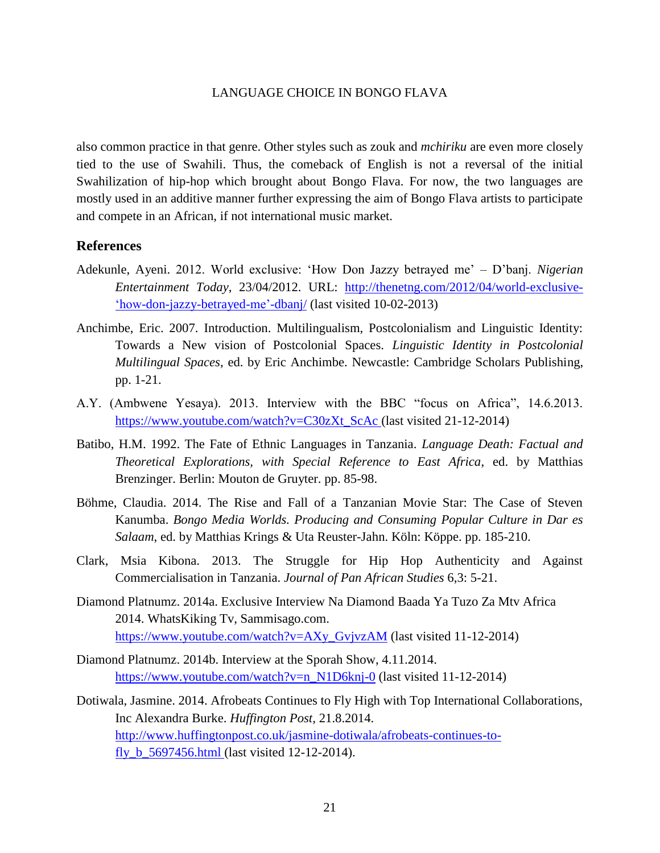also common practice in that genre. Other styles such as zouk and *mchiriku* are even more closely tied to the use of Swahili. Thus, the comeback of English is not a reversal of the initial Swahilization of hip-hop which brought about Bongo Flava. For now, the two languages are mostly used in an additive manner further expressing the aim of Bongo Flava artists to participate and compete in an African, if not international music market.

#### **References**

- Adekunle, Ayeni. 2012. World exclusive: 'How Don Jazzy betrayed me' D'banj. *Nigerian Entertainment Today*, 23/04/2012. URL: <http://thenetng.com/2012/04/world-exclusive-> ['how-don-jazzy-betrayed-me'-dbanj/](http://thenetng.com/2012/04/world-exclusive-) (last visited 10-02-2013)
- Anchimbe, Eric. 2007. Introduction. Multilingualism, Postcolonialism and Linguistic Identity: Towards a New vision of Postcolonial Spaces. *Linguistic Identity in Postcolonial Multilingual Spaces*, ed. by Eric Anchimbe. Newcastle: Cambridge Scholars Publishing, pp. 1-21.
- A.Y. (Ambwene Yesaya). 2013. Interview with the BBC "focus on Africa", 14.6.2013. [https://www.youtube.com/watch?v=C30zXt\\_ScAc](https://www.youtube.com/watch?v=C30zXt_ScAc) (last visited 21-12-2014)
- Batibo, H.M. 1992. The Fate of Ethnic Languages in Tanzania. *Language Death: Factual and Theoretical Explorations, with Special Reference to East Africa*, ed. by Matthias Brenzinger. Berlin: Mouton de Gruyter. pp. 85-98.
- Böhme, Claudia. 2014. The Rise and Fall of a Tanzanian Movie Star: The Case of Steven Kanumba. *Bongo Media Worlds. Producing and Consuming Popular Culture in Dar es Salaam*, ed. by Matthias Krings & Uta Reuster-Jahn. Köln: Köppe. pp. 185-210.
- Clark, Msia Kibona. 2013. The Struggle for Hip Hop Authenticity and Against Commercialisation in Tanzania. *Journal of Pan African Studies* 6,3: 5-21.
- Diamond Platnumz. 2014a. Exclusive Interview Na Diamond Baada Ya Tuzo Za Mtv Africa 2014. WhatsKiking Tv, Sammisago.com. [https://www.youtube.com/watch?v=AXy\\_GvjvzAM](https://www.youtube.com/watch?v=AXy_GvjvzAM) (last visited 11-12-2014)
- Diamond Platnumz. 2014b. Interview at the Sporah Show, 4.11.2014. [https://www.youtube.com/watch?v=n\\_N1D6knj-0](https://www.youtube.com/watch?v=n_N1D6knj-0) (last visited 11-12-2014)
- Dotiwala, Jasmine. 2014. Afrobeats Continues to Fly High with Top International Collaborations, Inc Alexandra Burke. *Huffington Post,* 21.8.2014. [http://www.huffingtonpost.co.uk/jasmine-dotiwala/afrobeats-continues-to](http://www.huffingtonpost.co.uk/jasmine-dotiwala/afrobeats-continues-to-fly_b_5697456.html)fly b  $5697456.html$  (last visited 12-12-2014).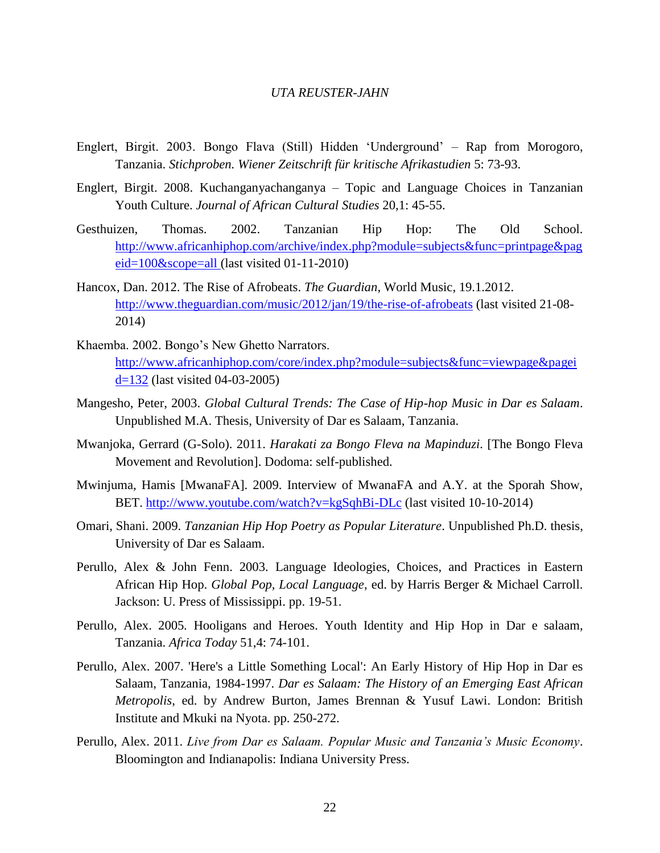- Englert, Birgit. 2003. Bongo Flava (Still) Hidden 'Underground' Rap from Morogoro, Tanzania. *Stichproben. Wiener Zeitschrift für kritische Afrikastudien* 5: 73-93.
- Englert, Birgit. 2008. Kuchanganyachanganya Topic and Language Choices in Tanzanian Youth Culture. *Journal of African Cultural Studies* 20,1: 45-55.
- Gesthuizen, Thomas. 2002. Tanzanian Hip Hop: The Old School. [http://www.africanhiphop.com/archive/index.php?module=subjects&func=printpage&pag](http://www.africanhiphop.com/archive/index.php?module=subjects&func=printpage&pageid=100&scope=all) [eid=100&scope=all](http://www.africanhiphop.com/archive/index.php?module=subjects&func=printpage&pageid=100&scope=all) (last visited 01-11-2010)
- Hancox, Dan. 2012. The Rise of Afrobeats. *The Guardian*, World Music, 19.1.2012. <http://www.theguardian.com/music/2012/jan/19/the-rise-of-afrobeats> (last visited 21-08-2014)
- Khaemba. 2002. Bongo's New Ghetto Narrators. http://www.africanhiphop.com/core/index.php?module=subjects&func=viewpage&pagei d=132 (last visited 04-03-2005)
- Mangesho, Peter, 2003. *Global Cultural Trends: The Case of Hip-hop Music in Dar es Salaam*. Unpublished M.A. Thesis, University of Dar es Salaam, Tanzania.
- Mwanjoka, Gerrard (G-Solo). 2011. *Harakati za Bongo Fleva na Mapinduzi.* [The Bongo Fleva Movement and Revolution]. Dodoma: self-published.
- Mwinjuma, Hamis [MwanaFA]. 2009. Interview of MwanaFA and A.Y. at the Sporah Show, BET.<http://www.youtube.com/watch?v=kgSqhBi-DLc> (last visited 10-10-2014)
- Omari, Shani. 2009. *Tanzanian Hip Hop Poetry as Popular Literature*. Unpublished Ph.D. thesis, University of Dar es Salaam.
- Perullo, Alex & John Fenn. 2003. Language Ideologies, Choices, and Practices in Eastern African Hip Hop. *Global Pop, Local Language*, ed. by Harris Berger & Michael Carroll. Jackson: U. Press of Mississippi. pp. 19-51.
- Perullo, Alex. 2005*.* Hooligans and Heroes. Youth Identity and Hip Hop in Dar e salaam, Tanzania. *Africa Today* 51,4: 74-101.
- Perullo, Alex. 2007. 'Here's a Little Something Local': An Early History of Hip Hop in Dar es Salaam, Tanzania, 1984-1997. *Dar es Salaam: The History of an Emerging East African Metropolis*, ed. by Andrew Burton, James Brennan & Yusuf Lawi. London: British Institute and Mkuki na Nyota. pp. 250-272.
- Perullo, Alex. 2011. *Live from Dar es Salaam. Popular Music and Tanzania's Music Economy*. Bloomington and Indianapolis: Indiana University Press.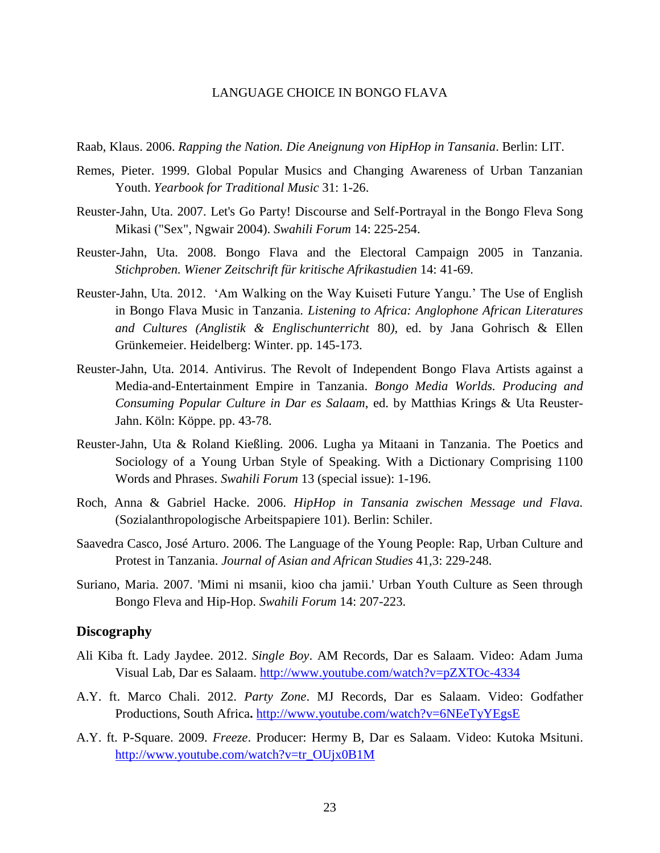Raab, Klaus. 2006. *Rapping the Nation. Die Aneignung von HipHop in Tansania*. Berlin: LIT.

- Remes, Pieter. 1999. Global Popular Musics and Changing Awareness of Urban Tanzanian Youth. *Yearbook for Traditional Music* 31: 1-26.
- Reuster-Jahn, Uta. 2007. Let's Go Party! Discourse and Self-Portrayal in the Bongo Fleva Song Mikasi ("Sex", Ngwair 2004). *Swahili Forum* 14: 225-254.
- Reuster-Jahn, Uta. 2008. Bongo Flava and the Electoral Campaign 2005 in Tanzania. *Stichproben. Wiener Zeitschrift für kritische Afrikastudien* 14: 41-69.
- Reuster-Jahn, Uta. 2012. 'Am Walking on the Way Kuiseti Future Yangu.' The Use of English in Bongo Flava Music in Tanzania. *Listening to Africa: Anglophone African Literatures and Cultures (Anglistik & Englischunterricht* 80*)*, ed. by Jana Gohrisch & Ellen Grünkemeier. Heidelberg: Winter. pp. 145-173.
- Reuster-Jahn, Uta. 2014. Antivirus. The Revolt of Independent Bongo Flava Artists against a Media-and-Entertainment Empire in Tanzania. *Bongo Media Worlds. Producing and Consuming Popular Culture in Dar es Salaam*, ed. by Matthias Krings & Uta Reuster-Jahn. Köln: Köppe. pp. 43-78.
- Reuster-Jahn, Uta & Roland Kießling. 2006. Lugha ya Mitaani in Tanzania. The Poetics and Sociology of a Young Urban Style of Speaking. With a Dictionary Comprising 1100 Words and Phrases. *Swahili Forum* 13 (special issue): 1-196.
- Roch, Anna & Gabriel Hacke. 2006. *HipHop in Tansania zwischen Message und Flava.* (Sozialanthropologische Arbeitspapiere 101). Berlin: Schiler.
- Saavedra Casco, José Arturo. 2006. The Language of the Young People: Rap, Urban Culture and Protest in Tanzania. *Journal of Asian and African Studies* 41,3: 229-248.
- Suriano, Maria. 2007. 'Mimi ni msanii, kioo cha jamii.' Urban Youth Culture as Seen through Bongo Fleva and Hip-Hop. *Swahili Forum* 14: 207-223.

## **Discography**

- Ali Kiba ft. Lady Jaydee. 2012. *Single Boy*. AM Records, Dar es Salaam. Video: Adam Juma Visual Lab, Dar es Salaam. http://www.youtube.com/watch?v=pZXTOc-4334
- [A.Y. ft. Marco Chali. 2012.](http://soundcloud.com/bongoflava/ay-ft-marco-chali-party-zone) *Party Zone*. MJ Records, Dar es Salaam. Video: Godfather Productions, South Africa**.** <http://www.youtube.com/watch?v=6NEeTyYEgsE>
- A.Y. ft. P-Square. 2009. *Freeze*. Producer: Hermy B, Dar es Salaam. Video: Kutoka Msituni. [http://www.youtube.com/watch?v=tr\\_OUjx0B1M](http://www.youtube.com/watch?v=tr_OUjx0B1M)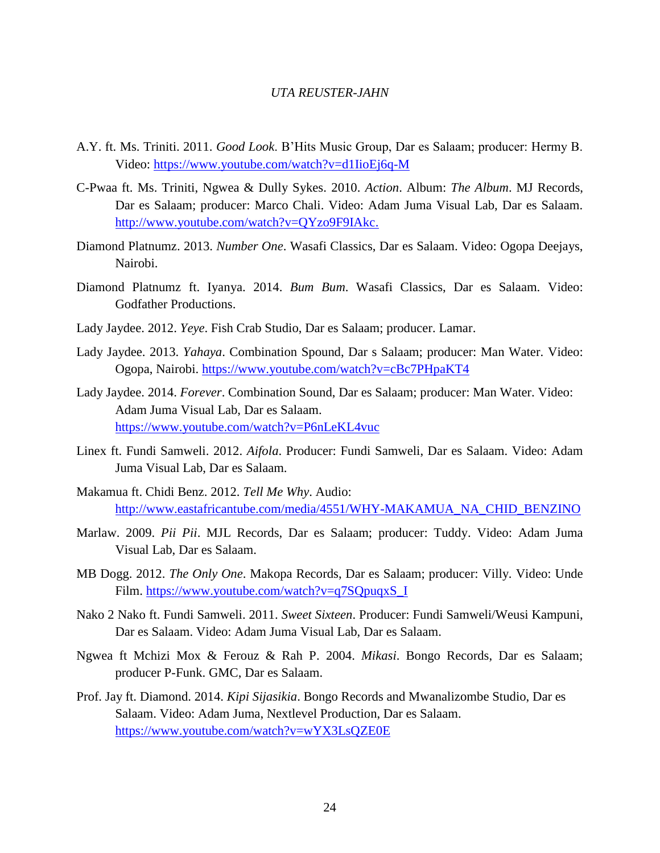- A.Y. ft. Ms. Triniti. 2011. *Good Look*. B'Hits Music Group, Dar es Salaam; producer: Hermy B. Video: https://www.youtube.com/watch?v=d1IioEj6q-M
- C-Pwaa ft. Ms. Triniti, Ngwea & Dully Sykes. 2010. *Action*. Album: *The Album*. MJ Records, Dar es Salaam; producer: Marco Chali. Video: Adam Juma Visual Lab, Dar es Salaam. [http://www.youtube.com/watch?v=QYzo9F9IAkc.](http://www.youtube.com/watch?v=QYzo9F9IAkc)
- Diamond Platnumz. 2013. *Number One*. Wasafi Classics, Dar es Salaam. Video: Ogopa Deejays, Nairobi.
- Diamond Platnumz ft. Iyanya. 2014. *Bum Bum*. Wasafi Classics, Dar es Salaam. Video: Godfather Productions.
- Lady Jaydee. 2012. *Yeye*. Fish Crab Studio, Dar es Salaam; producer. Lamar.
- Lady Jaydee. 2013. *Yahaya*. Combination Spound, Dar s Salaam; producer: Man Water. Video: Ogopa, Nairobi.<https://www.youtube.com/watch?v=cBc7PHpaKT4>
- Lady Jaydee. 2014. *Forever*. Combination Sound, Dar es Salaam; producer: Man Water. Video: Adam Juma Visual Lab, Dar es Salaam. <https://www.youtube.com/watch?v=P6nLeKL4vuc>
- Linex ft. Fundi Samweli. 2012. *Aifola*. Producer: Fundi Samweli, Dar es Salaam. Video: Adam Juma Visual Lab, Dar es Salaam.
- Makamua ft. Chidi Benz. 2012. *Tell Me Why*. Audio: http://www.eastafricantube.com/media/4551/WHY-MAKAMUA\_NA\_CHID\_BENZINO
- Marlaw. 2009. *Pii Pii*. MJL Records, Dar es Salaam; producer: Tuddy. Video: Adam Juma Visual Lab, Dar es Salaam.
- MB Dogg. 2012. *The Only One*. Makopa Records, Dar es Salaam; producer: Villy. Video: Unde Film. https://www.youtube.com/watch?v=q7SQpuqxS\_I
- Nako 2 Nako ft. Fundi Samweli. 2011. *Sweet Sixteen*. Producer: Fundi Samweli/Weusi Kampuni, Dar es Salaam. Video: Adam Juma Visual Lab, Dar es Salaam.
- [Ngwea ft Mchizi Mox & Ferouz & Rah P.](http://www.google.de/url?sa=t&rct=j&q=&esrc=s&source=web&cd=3&cad=rja&uact=8&ved=0CC8QFjAC&url=http%3A%2F%2Fwww.getmziki.com%2F2013%2F04%2Fngwea-ft-mchizi-mox-ferouz-rah-p-mikasi-getmziki-throwback-thursday%2F&ei=o2ytVJvmPObkyAOUm4GAAg&usg=AFQjCNHwt-kihSDxU80-avqcgpJVUr5a9w&sig2=l1K8qzJzTFz3qHcm0-DjVA&bvm=bv.83134100,d.bGQ) 2004. *Mikasi*. Bongo Records, Dar es Salaam; producer P-Funk. GMC, Dar es Salaam.
- Prof. Jay ft. Diamond. 2014. *Kipi Sijasikia*. Bongo Records and Mwanalizombe Studio, Dar es Salaam. Video: Adam Juma, Nextlevel Production, Dar es Salaam. <https://www.youtube.com/watch?v=wYX3LsQZE0E>